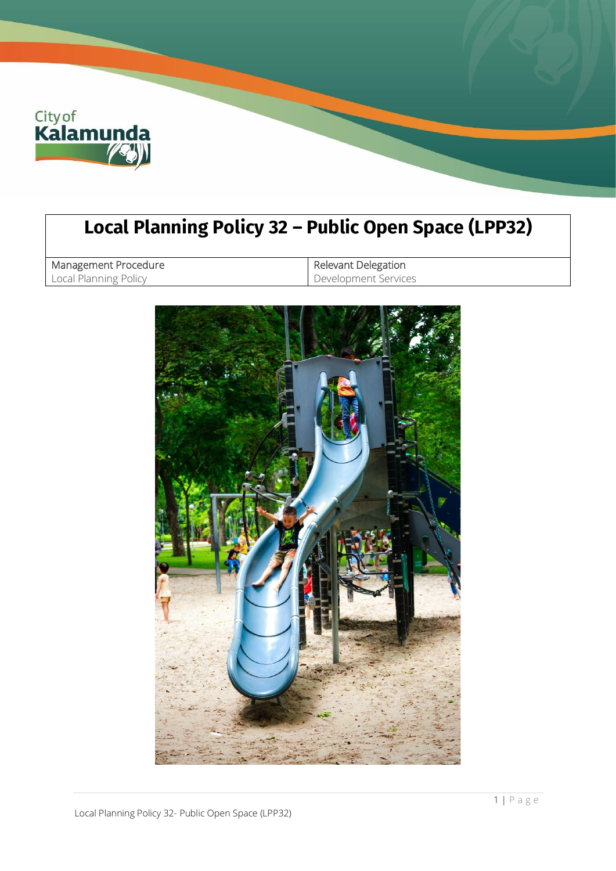

# **Local Planning Policy 32 – Public Open Space (LPP32)**

Management Procedure Local Planning Policy

Relevant Delegation Development Services

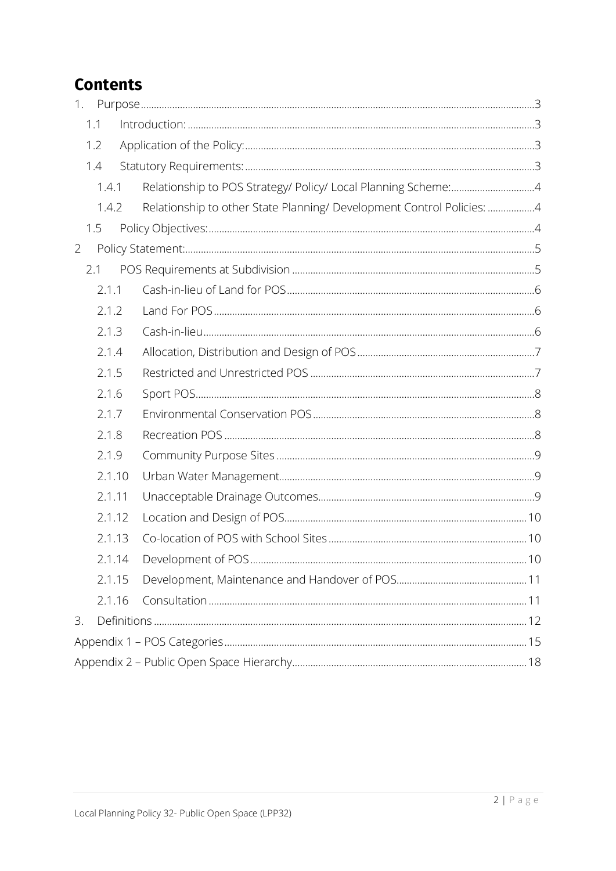## **Contents**

| 1.             |        |        |                                                                       |  |  |  |  |  |
|----------------|--------|--------|-----------------------------------------------------------------------|--|--|--|--|--|
|                | 1.1    |        |                                                                       |  |  |  |  |  |
|                | 1.2    |        |                                                                       |  |  |  |  |  |
|                | 1.4    |        |                                                                       |  |  |  |  |  |
|                | 1.4.1  |        | Relationship to POS Strategy/ Policy/ Local Planning Scheme:4         |  |  |  |  |  |
|                | 1.4.2  |        | Relationship to other State Planning/ Development Control Policies: 4 |  |  |  |  |  |
|                | 1.5    |        |                                                                       |  |  |  |  |  |
| $\overline{2}$ |        |        |                                                                       |  |  |  |  |  |
|                | 2.1    |        |                                                                       |  |  |  |  |  |
|                | 2.1.1  |        |                                                                       |  |  |  |  |  |
|                | 2.1.2  |        |                                                                       |  |  |  |  |  |
|                | 2.1.3  |        |                                                                       |  |  |  |  |  |
|                | 2.1.4  |        |                                                                       |  |  |  |  |  |
|                | 2.1.5  |        |                                                                       |  |  |  |  |  |
|                | 2.1.6  |        |                                                                       |  |  |  |  |  |
|                | 2.1.7  |        |                                                                       |  |  |  |  |  |
|                | 2.1.8  |        |                                                                       |  |  |  |  |  |
|                | 2.1.9  |        |                                                                       |  |  |  |  |  |
|                | 2.1.10 |        |                                                                       |  |  |  |  |  |
|                | 2.1.11 |        |                                                                       |  |  |  |  |  |
|                | 2.1.12 |        |                                                                       |  |  |  |  |  |
|                | 2.1.13 |        |                                                                       |  |  |  |  |  |
|                |        | 2.1.14 |                                                                       |  |  |  |  |  |
|                | 2.1.15 |        |                                                                       |  |  |  |  |  |
|                | 2.1.16 |        |                                                                       |  |  |  |  |  |
| 3.             |        |        |                                                                       |  |  |  |  |  |
|                |        |        |                                                                       |  |  |  |  |  |
|                |        |        |                                                                       |  |  |  |  |  |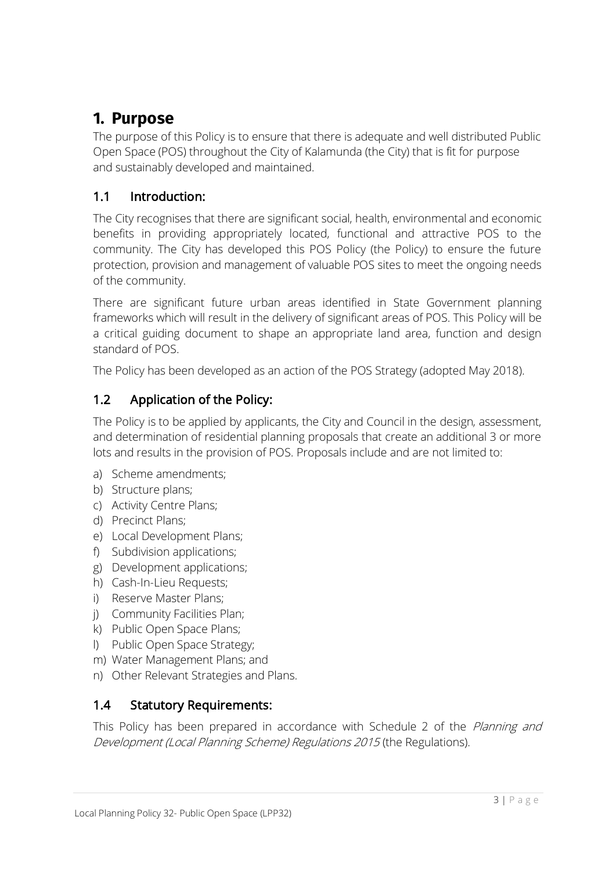## <span id="page-2-0"></span>**1. Purpose**

The purpose of this Policy is to ensure that there is adequate and well distributed Public Open Space (POS) throughout the City of Kalamunda (the City) that is fit for purpose and sustainably developed and maintained.

## <span id="page-2-1"></span>1.1 Introduction:

The City recognises that there are significant social, health, environmental and economic benefits in providing appropriately located, functional and attractive POS to the community. The City has developed this POS Policy (the Policy) to ensure the future protection, provision and management of valuable POS sites to meet the ongoing needs of the community.

There are significant future urban areas identified in State Government planning frameworks which will result in the delivery of significant areas of POS. This Policy will be a critical guiding document to shape an appropriate land area, function and design standard of POS.

The Policy has been developed as an action of the POS Strategy (adopted May 2018).

## <span id="page-2-2"></span>1.2 Application of the Policy:

The Policy is to be applied by applicants, the City and Council in the design, assessment, and determination of residential planning proposals that create an additional 3 or more lots and results in the provision of POS. Proposals include and are not limited to:

- a) Scheme amendments;
- b) Structure plans;
- c) Activity Centre Plans;
- d) Precinct Plans;
- e) Local Development Plans;
- f) Subdivision applications;
- g) Development applications;
- h) Cash-In-Lieu Requests;
- i) Reserve Master Plans;
- j) Community Facilities Plan;
- k) Public Open Space Plans;
- l) Public Open Space Strategy;
- m) Water Management Plans; and
- n) Other Relevant Strategies and Plans.

## <span id="page-2-3"></span>1.4 Statutory Requirements:

This Policy has been prepared in accordance with Schedule 2 of the Planning and Development (Local Planning Scheme) Regulations 2015 (the Regulations).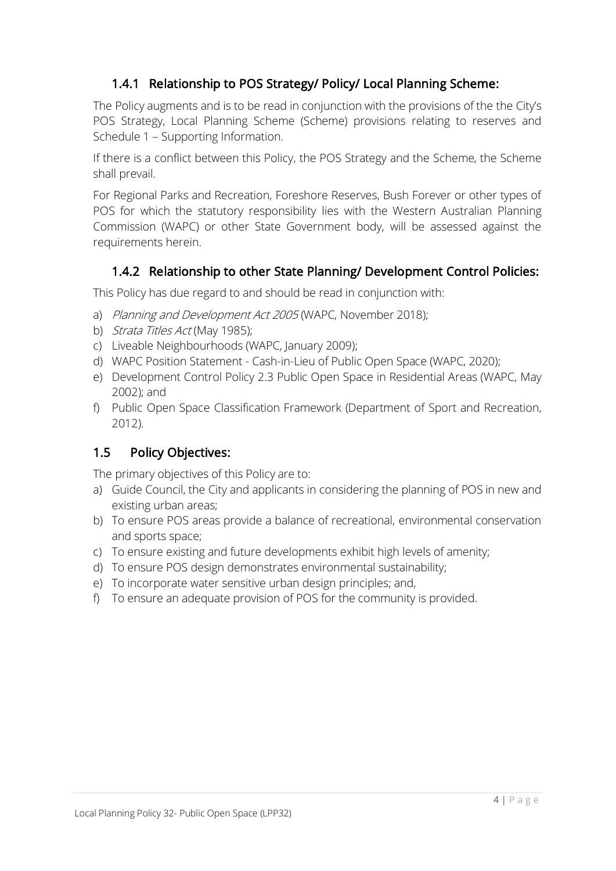## 1.4.1 Relationship to POS Strategy/ Policy/ Local Planning Scheme:

<span id="page-3-0"></span>The Policy augments and is to be read in conjunction with the provisions of the the City's POS Strategy, Local Planning Scheme (Scheme) provisions relating to reserves and Schedule 1 – Supporting Information.

If there is a conflict between this Policy, the POS Strategy and the Scheme, the Scheme shall prevail.

For Regional Parks and Recreation, Foreshore Reserves, Bush Forever or other types of POS for which the statutory responsibility lies with the Western Australian Planning Commission (WAPC) or other State Government body, will be assessed against the requirements herein.

### 1.4.2 Relationship to other State Planning/ Development Control Policies:

<span id="page-3-1"></span>This Policy has due regard to and should be read in conjunction with:

- a) Planning and Development Act 2005 (WAPC, November 2018);
- b) Strata Titles Act (May 1985);
- c) Liveable Neighbourhoods (WAPC, January 2009);
- d) WAPC Position Statement Cash-in-Lieu of Public Open Space (WAPC, 2020);
- e) Development Control Policy 2.3 Public Open Space in Residential Areas (WAPC, May 2002); and
- f) Public Open Space Classification Framework (Department of Sport and Recreation, 2012).

### <span id="page-3-2"></span>1.5 Policy Objectives:

The primary objectives of this Policy are to:

- a) Guide Council, the City and applicants in considering the planning of POS in new and existing urban areas;
- b) To ensure POS areas provide a balance of recreational, environmental conservation and sports space;
- c) To ensure existing and future developments exhibit high levels of amenity;
- d) To ensure POS design demonstrates environmental sustainability;
- e) To incorporate water sensitive urban design principles; and,
- f) To ensure an adequate provision of POS for the community is provided.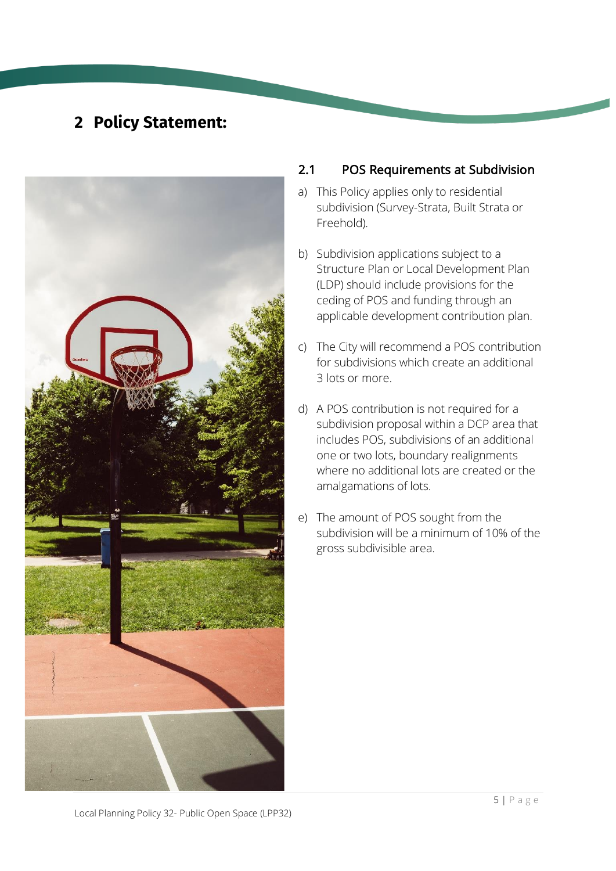## <span id="page-4-0"></span>**2 Policy Statement:**



### <span id="page-4-1"></span>2.1 POS Requirements at Subdivision

- a) This Policy applies only to residential subdivision (Survey-Strata, Built Strata or Freehold).
- b) Subdivision applications subject to a Structure Plan or Local Development Plan (LDP) should include provisions for the ceding of POS and funding through an applicable development contribution plan.
- c) The City will recommend a POS contribution for subdivisions which create an additional 3 lots or more.
- d) A POS contribution is not required for a subdivision proposal within a DCP area that includes POS, subdivisions of an additional one or two lots, boundary realignments where no additional lots are created or the amalgamations of lots.
- e) The amount of POS sought from the subdivision will be a minimum of 10% of the gross subdivisible area.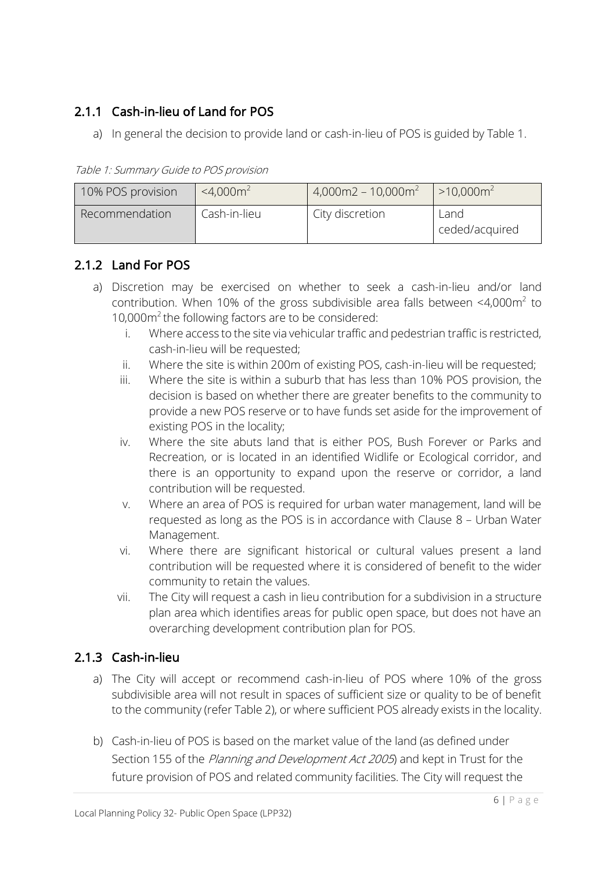## <span id="page-5-0"></span>2.1.1 Cash-in-lieu of Land for POS

a) In general the decision to provide land or cash-in-lieu of POS is guided by Table 1.

Table 1: Summary Guide to POS provision

| 10% POS provision | $<$ 4,000 $m2$ | $4,000 \,\mathrm{m2}$ – 10,000 $\,\mathrm{m^2}$ | $>10.000$ m <sup>2</sup> |
|-------------------|----------------|-------------------------------------------------|--------------------------|
| Recommendation    | Cash-in-lieu   | City discretion                                 | Land<br>ceded/acquired   |

### <span id="page-5-1"></span>2.1.2 Land For POS

- a) Discretion may be exercised on whether to seek a cash-in-lieu and/or land contribution. When 10% of the gross subdivisible area falls between  $\leq 4,000$ m<sup>2</sup> to 10,000m<sup>2</sup> the following factors are to be considered:
	- i. Where access to the site via vehicular traffic and pedestrian traffic is restricted, cash-in-lieu will be requested;
	- ii. Where the site is within 200m of existing POS, cash-in-lieu will be requested;
	- iii. Where the site is within a suburb that has less than 10% POS provision, the decision is based on whether there are greater benefits to the community to provide a new POS reserve or to have funds set aside for the improvement of existing POS in the locality;
	- iv. Where the site abuts land that is either POS, Bush Forever or Parks and Recreation, or is located in an identified Widlife or Ecological corridor, and there is an opportunity to expand upon the reserve or corridor, a land contribution will be requested.
	- v. Where an area of POS is required for urban water management, land will be requested as long as the POS is in accordance with Clause 8 – Urban Water Management.
	- vi. Where there are significant historical or cultural values present a land contribution will be requested where it is considered of benefit to the wider community to retain the values.
	- vii. The City will request a cash in lieu contribution for a subdivision in a structure plan area which identifies areas for public open space, but does not have an overarching development contribution plan for POS.

## <span id="page-5-2"></span>2.1.3 Cash-in-lieu

- a) The City will accept or recommend cash-in-lieu of POS where 10% of the gross subdivisible area will not result in spaces of sufficient size or quality to be of benefit to the community (refer Table 2), or where sufficient POS already exists in the locality.
- b) Cash-in-lieu of POS is based on the market value of the land (as defined under Section 155 of the Planning and Development Act 2005) and kept in Trust for the future provision of POS and related community facilities. The City will request the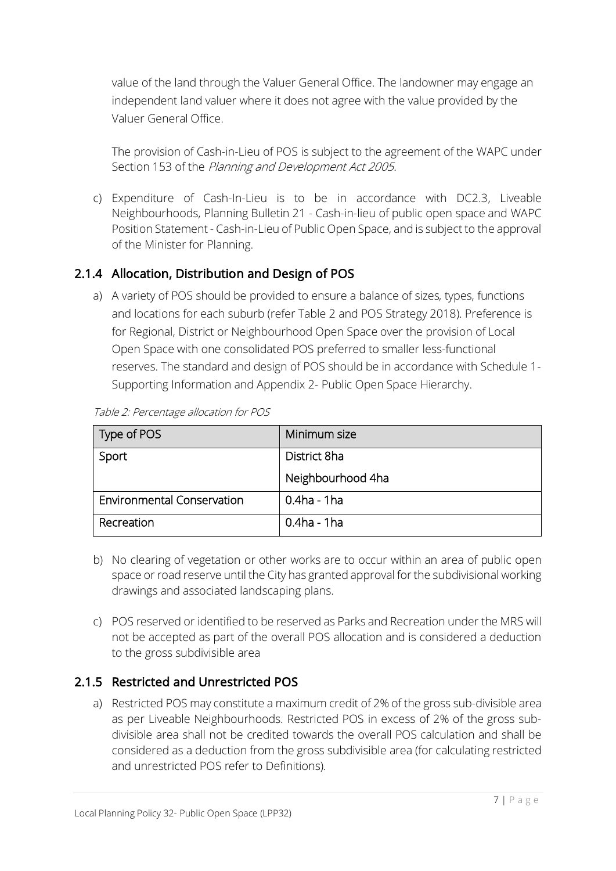value of the land through the Valuer General Office. The landowner may engage an independent land valuer where it does not agree with the value provided by the Valuer General Office.

The provision of Cash-in-Lieu of POS is subject to the agreement of the WAPC under Section 153 of the Planning and Development Act 2005.

c) Expenditure of Cash-In-Lieu is to be in accordance with DC2.3, Liveable Neighbourhoods, Planning Bulletin 21 - Cash-in-lieu of public open space and WAPC Position Statement - Cash-in-Lieu of Public Open Space, and is subject to the approval of the Minister for Planning.

## <span id="page-6-0"></span>2.1.4 Allocation, Distribution and Design of POS

a) A variety of POS should be provided to ensure a balance of sizes, types, functions and locations for each suburb (refer Table 2 and POS Strategy 2018). Preference is for Regional, District or Neighbourhood Open Space over the provision of Local Open Space with one consolidated POS preferred to smaller less-functional reserves. The standard and design of POS should be in accordance with Schedule 1- Supporting Information and Appendix 2- Public Open Space Hierarchy.

| Type of POS                       | Minimum size      |
|-----------------------------------|-------------------|
| Sport                             | District 8ha      |
|                                   | Neighbourhood 4ha |
| <b>Environmental Conservation</b> | 0.4ha - 1ha       |
| Recreation                        | 0.4ha - 1ha       |

Table 2: Percentage allocation for POS

- b) No clearing of vegetation or other works are to occur within an area of public open space or road reserve until the City has granted approval for the subdivisional working drawings and associated landscaping plans.
- c) POS reserved or identified to be reserved as Parks and Recreation under the MRS will not be accepted as part of the overall POS allocation and is considered a deduction to the gross subdivisible area

## <span id="page-6-1"></span>2.1.5 Restricted and Unrestricted POS

a) Restricted POS may constitute a maximum credit of 2% of the gross sub-divisible area as per Liveable Neighbourhoods. Restricted POS in excess of 2% of the gross subdivisible area shall not be credited towards the overall POS calculation and shall be considered as a deduction from the gross subdivisible area (for calculating restricted and unrestricted POS refer to Definitions).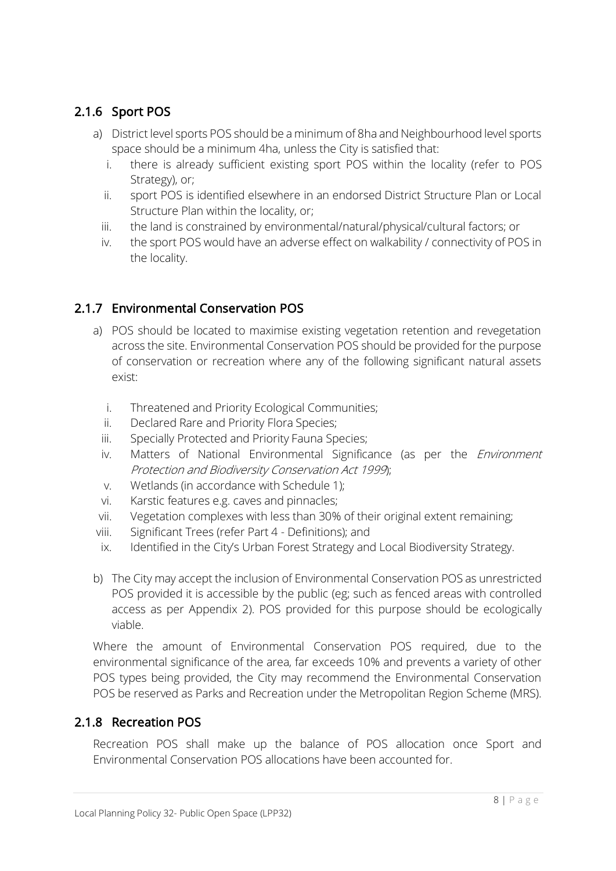## <span id="page-7-0"></span>2.1.6 Sport POS

- a) District level sports POS should be a minimum of 8ha and Neighbourhood level sports space should be a minimum 4ha, unless the City is satisfied that:
	- i. there is already sufficient existing sport POS within the locality (refer to POS Strategy), or;
	- ii. sport POS is identified elsewhere in an endorsed District Structure Plan or Local Structure Plan within the locality, or;
	- iii. the land is constrained by environmental/natural/physical/cultural factors; or
	- iv. the sport POS would have an adverse effect on walkability / connectivity of POS in the locality.

## <span id="page-7-1"></span>2.1.7 Environmental Conservation POS

- a) POS should be located to maximise existing vegetation retention and revegetation across the site. Environmental Conservation POS should be provided for the purpose of conservation or recreation where any of the following significant natural assets exist:
	- i. Threatened and Priority Ecological Communities;
	- ii. Declared Rare and Priority Flora Species;
	- iii. Specially Protected and Priority Fauna Species;
	- iv. Matters of National Environmental Significance (as per the *Environment* Protection and Biodiversity Conservation Act 1999);
	- v. Wetlands (in accordance with Schedule 1);
	- vi. Karstic features e.g. caves and pinnacles;
- vii. Vegetation complexes with less than 30% of their original extent remaining;
- viii. Significant Trees (refer Part 4 Definitions); and
- ix. Identified in the City's Urban Forest Strategy and Local Biodiversity Strategy.
- b) The City may accept the inclusion of Environmental Conservation POS as unrestricted POS provided it is accessible by the public (eg; such as fenced areas with controlled access as per Appendix 2). POS provided for this purpose should be ecologically viable.

Where the amount of Environmental Conservation POS required, due to the environmental significance of the area, far exceeds 10% and prevents a variety of other POS types being provided, the City may recommend the Environmental Conservation POS be reserved as Parks and Recreation under the Metropolitan Region Scheme (MRS).

### <span id="page-7-2"></span>2.1.8 Recreation POS

Recreation POS shall make up the balance of POS allocation once Sport and Environmental Conservation POS allocations have been accounted for.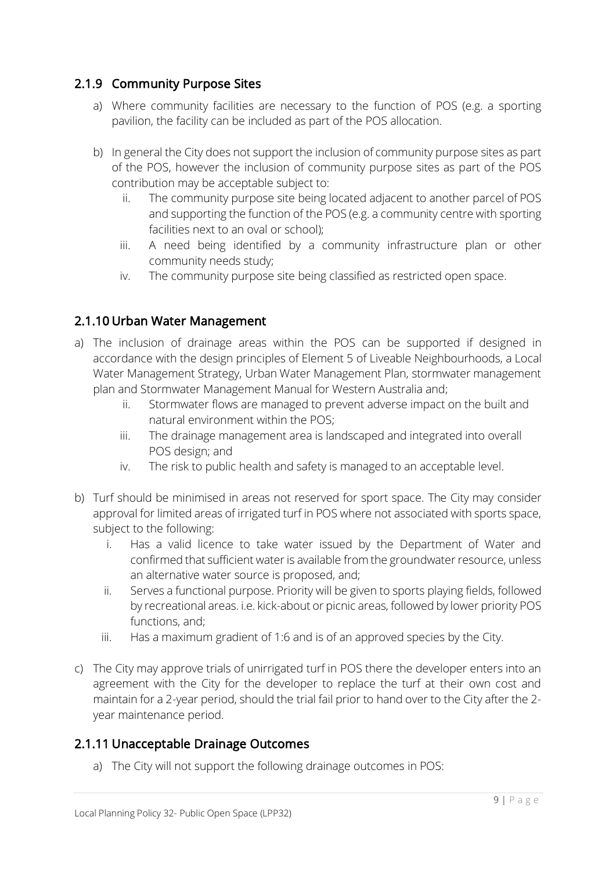### <span id="page-8-0"></span>2.1.9 Community Purpose Sites

- a) Where community facilities are necessary to the function of POS (e.g. a sporting pavilion, the facility can be included as part of the POS allocation.
- b) In general the City does not support the inclusion of community purpose sites as part of the POS, however the inclusion of community purpose sites as part of the POS contribution may be acceptable subject to:
	- ii. The community purpose site being located adjacent to another parcel of POS and supporting the function of the POS (e.g. a community centre with sporting facilities next to an oval or school);
	- iii. A need being identified by a community infrastructure plan or other community needs study;
	- iv. The community purpose site being classified as restricted open space.

#### <span id="page-8-1"></span>2.1.10 Urban Water Management

- a) The inclusion of drainage areas within the POS can be supported if designed in accordance with the design principles of Element 5 of Liveable Neighbourhoods, a Local Water Management Strategy, Urban Water Management Plan, stormwater management plan and Stormwater Management Manual for Western Australia and;
	- ii. Stormwater flows are managed to prevent adverse impact on the built and natural environment within the POS;
	- iii. The drainage management area is landscaped and integrated into overall POS design; and
	- iv. The risk to public health and safety is managed to an acceptable level.
- b) Turf should be minimised in areas not reserved for sport space. The City may consider approval for limited areas of irrigated turf in POS where not associated with sports space, subject to the following:
	- i. Has a valid licence to take water issued by the Department of Water and confirmed that sufficient water is available from the groundwater resource, unless an alternative water source is proposed, and;
	- ii. Serves a functional purpose. Priority will be given to sports playing fields, followed by recreational areas. i.e. kick-about or picnic areas, followed by lower priority POS functions, and;
	- iii. Has a maximum gradient of 1:6 and is of an approved species by the City.
- c) The City may approve trials of unirrigated turf in POS there the developer enters into an agreement with the City for the developer to replace the turf at their own cost and maintain for a 2-year period, should the trial fail prior to hand over to the City after the 2 year maintenance period.

#### <span id="page-8-2"></span>2.1.11 Unacceptable Drainage Outcomes

a) The City will not support the following drainage outcomes in POS: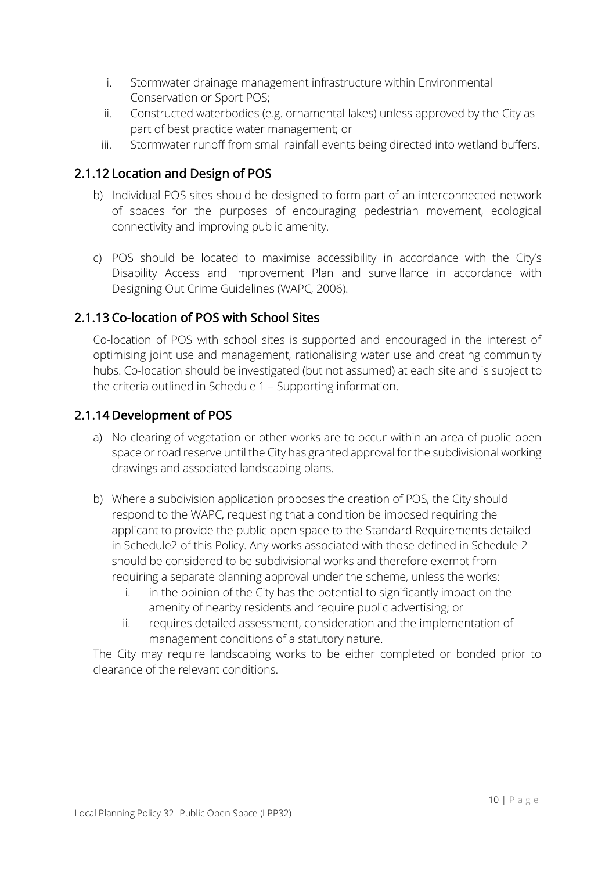- i. Stormwater drainage management infrastructure within Environmental Conservation or Sport POS;
- ii. Constructed waterbodies (e.g. ornamental lakes) unless approved by the City as part of best practice water management; or
- iii. Stormwater runoff from small rainfall events being directed into wetland buffers.

### <span id="page-9-0"></span>2.1.12 Location and Design of POS

- b) Individual POS sites should be designed to form part of an interconnected network of spaces for the purposes of encouraging pedestrian movement, ecological connectivity and improving public amenity.
- c) POS should be located to maximise accessibility in accordance with the City's Disability Access and Improvement Plan and surveillance in accordance with Designing Out Crime Guidelines (WAPC, 2006).

### <span id="page-9-1"></span>2.1.13 Co-location of POS with School Sites

Co-location of POS with school sites is supported and encouraged in the interest of optimising joint use and management, rationalising water use and creating community hubs. Co-location should be investigated (but not assumed) at each site and is subject to the criteria outlined in Schedule 1 – Supporting information.

#### <span id="page-9-2"></span>2.1.14 Development of POS

- a) No clearing of vegetation or other works are to occur within an area of public open space or road reserve until the City has granted approval for the subdivisional working drawings and associated landscaping plans.
- b) Where a subdivision application proposes the creation of POS, the City should respond to the WAPC, requesting that a condition be imposed requiring the applicant to provide the public open space to the Standard Requirements detailed in Schedule2 of this Policy. Any works associated with those defined in Schedule 2 should be considered to be subdivisional works and therefore exempt from requiring a separate planning approval under the scheme, unless the works:
	- i. in the opinion of the City has the potential to significantly impact on the amenity of nearby residents and require public advertising; or
	- ii. requires detailed assessment, consideration and the implementation of management conditions of a statutory nature.

The City may require landscaping works to be either completed or bonded prior to clearance of the relevant conditions.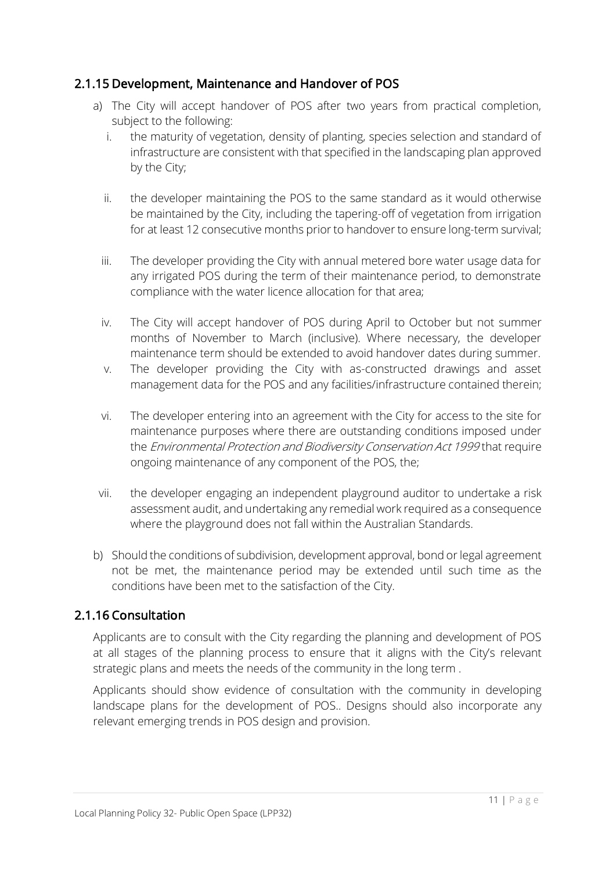### <span id="page-10-0"></span>2.1.15 Development, Maintenance and Handover of POS

- a) The City will accept handover of POS after two years from practical completion, subject to the following:
	- i. the maturity of vegetation, density of planting, species selection and standard of infrastructure are consistent with that specified in the landscaping plan approved by the City;
	- ii. the developer maintaining the POS to the same standard as it would otherwise be maintained by the City, including the tapering-off of vegetation from irrigation for at least 12 consecutive months prior to handover to ensure long-term survival;
	- iii. The developer providing the City with annual metered bore water usage data for any irrigated POS during the term of their maintenance period, to demonstrate compliance with the water licence allocation for that area;
	- iv. The City will accept handover of POS during April to October but not summer months of November to March (inclusive). Where necessary, the developer maintenance term should be extended to avoid handover dates during summer.
	- v. The developer providing the City with as-constructed drawings and asset management data for the POS and any facilities/infrastructure contained therein;
	- vi. The developer entering into an agreement with the City for access to the site for maintenance purposes where there are outstanding conditions imposed under the Environmental Protection and Biodiversity Conservation Act 1999 that require ongoing maintenance of any component of the POS, the;
- vii. the developer engaging an independent playground auditor to undertake a risk assessment audit, and undertaking any remedial work required as a consequence where the playground does not fall within the Australian Standards.
- b) Should the conditions of subdivision, development approval, bond or legal agreement not be met, the maintenance period may be extended until such time as the conditions have been met to the satisfaction of the City.

### <span id="page-10-1"></span>2.1.16 Consultation

Applicants are to consult with the City regarding the planning and development of POS at all stages of the planning process to ensure that it aligns with the City's relevant strategic plans and meets the needs of the community in the long term .

Applicants should show evidence of consultation with the community in developing landscape plans for the development of POS.. Designs should also incorporate any relevant emerging trends in POS design and provision.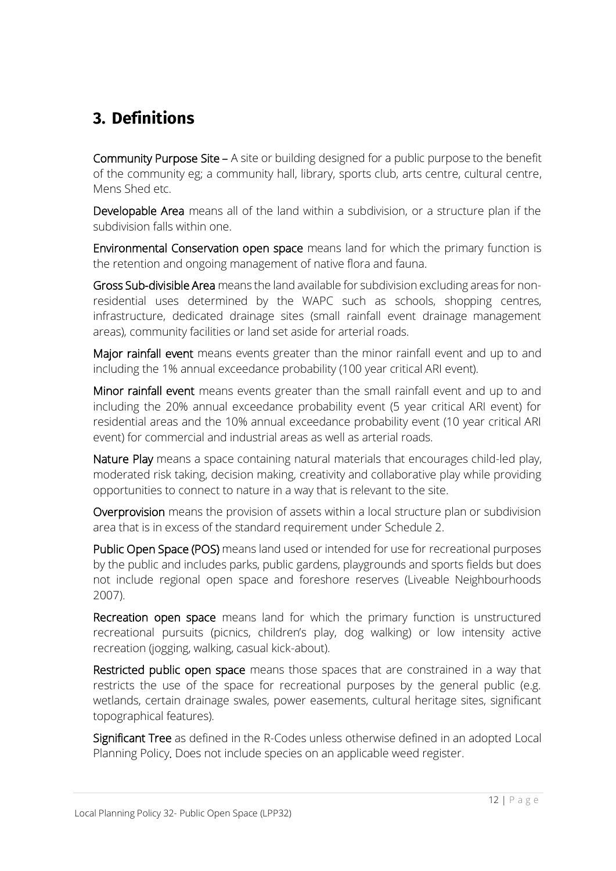# <span id="page-11-0"></span>**3. Definitions**

Community Purpose Site – A site or building designed for a public purpose to the benefit of the community eg; a community hall, library, sports club, arts centre, cultural centre, Mens Shed etc.

Developable Area means all of the land within a subdivision, or a structure plan if the subdivision falls within one.

Environmental Conservation open space means land for which the primary function is the retention and ongoing management of native flora and fauna.

Gross Sub-divisible Area means the land available for subdivision excluding areas for nonresidential uses determined by the WAPC such as schools, shopping centres, infrastructure, dedicated drainage sites (small rainfall event drainage management areas), community facilities or land set aside for arterial roads.

Major rainfall event means events greater than the minor rainfall event and up to and including the 1% annual exceedance probability (100 year critical ARI event).

Minor rainfall event means events greater than the small rainfall event and up to and including the 20% annual exceedance probability event (5 year critical ARI event) for residential areas and the 10% annual exceedance probability event (10 year critical ARI event) for commercial and industrial areas as well as arterial roads.

Nature Play means a space containing natural materials that encourages child-led play, moderated risk taking, decision making, creativity and collaborative play while providing opportunities to connect to nature in a way that is relevant to the site.

Overprovision means the provision of assets within a local structure plan or subdivision area that is in excess of the standard requirement under Schedule 2.

Public Open Space (POS) means land used or intended for use for recreational purposes by the public and includes parks, public gardens, playgrounds and sports fields but does not include regional open space and foreshore reserves (Liveable Neighbourhoods 2007).

Recreation open space means land for which the primary function is unstructured recreational pursuits (picnics, children's play, dog walking) or low intensity active recreation (jogging, walking, casual kick-about).

Restricted public open space means those spaces that are constrained in a way that restricts the use of the space for recreational purposes by the general public (e.g. wetlands, certain drainage swales, power easements, cultural heritage sites, significant topographical features).

Significant Tree as defined in the R-Codes unless otherwise defined in an adopted Local Planning Policy. Does not include species on an applicable weed register.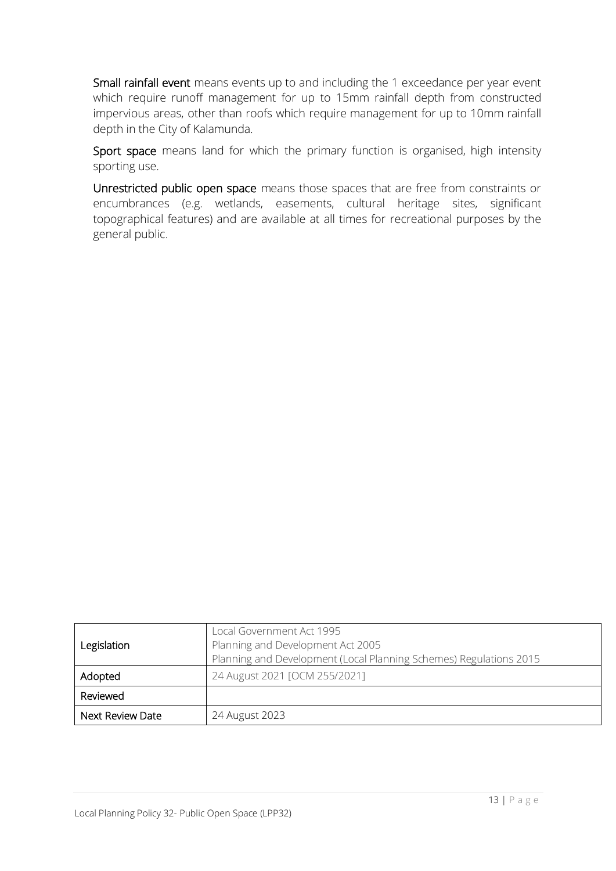Small rainfall event means events up to and including the 1 exceedance per year event which require runoff management for up to 15mm rainfall depth from constructed impervious areas, other than roofs which require management for up to 10mm rainfall depth in the City of Kalamunda.

Sport space means land for which the primary function is organised, high intensity sporting use.

Unrestricted public open space means those spaces that are free from constraints or encumbrances (e.g. wetlands, easements, cultural heritage sites, significant topographical features) and are available at all times for recreational purposes by the general public.

| Legislation      | Local Government Act 1995<br>Planning and Development Act 2005<br>Planning and Development (Local Planning Schemes) Regulations 2015 |
|------------------|--------------------------------------------------------------------------------------------------------------------------------------|
| Adopted          | 24 August 2021 [OCM 255/2021]                                                                                                        |
| Reviewed         |                                                                                                                                      |
| Next Review Date | 24 August 2023                                                                                                                       |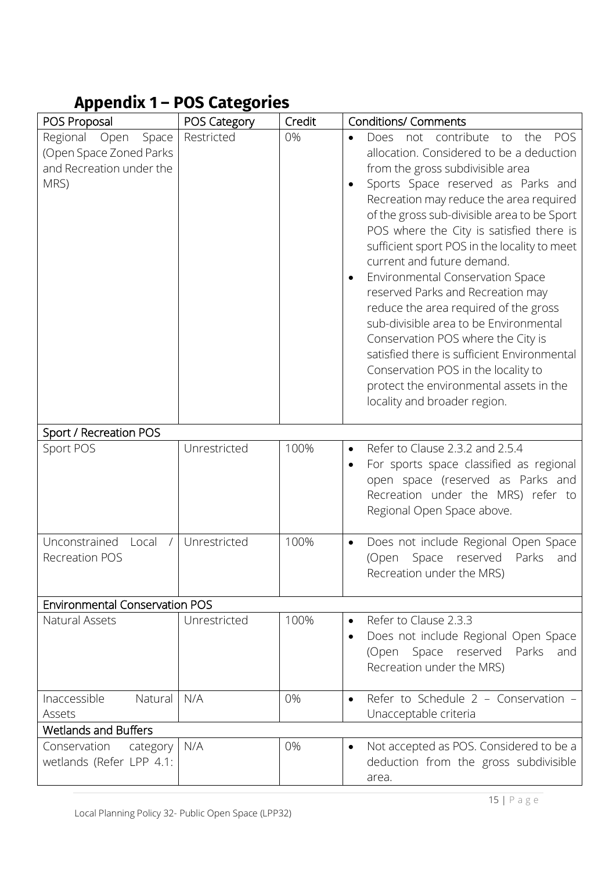# <span id="page-14-0"></span>**Appendix 1 – POS Categories**

| POS Proposal                                                                             | POS Category | Credit | <b>Conditions/ Comments</b>                                                                                                                                                                                                                                                                                                                                                                                                                                                                                                                                                                                                                                                                                                                                                           |
|------------------------------------------------------------------------------------------|--------------|--------|---------------------------------------------------------------------------------------------------------------------------------------------------------------------------------------------------------------------------------------------------------------------------------------------------------------------------------------------------------------------------------------------------------------------------------------------------------------------------------------------------------------------------------------------------------------------------------------------------------------------------------------------------------------------------------------------------------------------------------------------------------------------------------------|
| Regional<br>Open<br>Space<br>(Open Space Zoned Parks<br>and Recreation under the<br>MRS) | Restricted   | 0%     | contribute<br>the<br>POS<br><b>Does</b><br>not<br>to<br>$\bullet$<br>allocation. Considered to be a deduction<br>from the gross subdivisible area<br>Sports Space reserved as Parks and<br>Recreation may reduce the area required<br>of the gross sub-divisible area to be Sport<br>POS where the City is satisfied there is<br>sufficient sport POS in the locality to meet<br>current and future demand.<br><b>Environmental Conservation Space</b><br>reserved Parks and Recreation may<br>reduce the area required of the gross<br>sub-divisible area to be Environmental<br>Conservation POS where the City is<br>satisfied there is sufficient Environmental<br>Conservation POS in the locality to<br>protect the environmental assets in the<br>locality and broader region. |
| Sport / Recreation POS                                                                   |              |        |                                                                                                                                                                                                                                                                                                                                                                                                                                                                                                                                                                                                                                                                                                                                                                                       |
| Sport POS                                                                                | Unrestricted | 100%   | Refer to Clause 2.3.2 and 2.5.4<br>$\bullet$<br>For sports space classified as regional<br>open space (reserved as Parks and<br>Recreation under the MRS) refer to<br>Regional Open Space above.                                                                                                                                                                                                                                                                                                                                                                                                                                                                                                                                                                                      |
| Unconstrained<br>Local<br>$\sqrt{ }$<br><b>Recreation POS</b>                            | Unrestricted | 100%   | Does not include Regional Open Space<br>$\bullet$<br>Space reserved<br>Parks<br>(Open<br>and<br>Recreation under the MRS)                                                                                                                                                                                                                                                                                                                                                                                                                                                                                                                                                                                                                                                             |
| <b>Environmental Conservation POS</b>                                                    |              |        |                                                                                                                                                                                                                                                                                                                                                                                                                                                                                                                                                                                                                                                                                                                                                                                       |
| Natural Assets                                                                           | Unrestricted | 100%   | Refer to Clause 2.3.3<br>$\bullet$<br>Does not include Regional Open Space<br>(Open Space reserved Parks<br>and<br>Recreation under the MRS)                                                                                                                                                                                                                                                                                                                                                                                                                                                                                                                                                                                                                                          |
| Inaccessible<br>Natural<br>Assets                                                        | N/A          | 0%     | Refer to Schedule 2 - Conservation -<br>Unacceptable criteria                                                                                                                                                                                                                                                                                                                                                                                                                                                                                                                                                                                                                                                                                                                         |
| <b>Wetlands and Buffers</b>                                                              |              |        |                                                                                                                                                                                                                                                                                                                                                                                                                                                                                                                                                                                                                                                                                                                                                                                       |
| Conservation<br>category<br>wetlands (Refer LPP 4.1:                                     | N/A          | 0%     | Not accepted as POS. Considered to be a<br>$\bullet$<br>deduction from the gross subdivisible<br>area.                                                                                                                                                                                                                                                                                                                                                                                                                                                                                                                                                                                                                                                                                |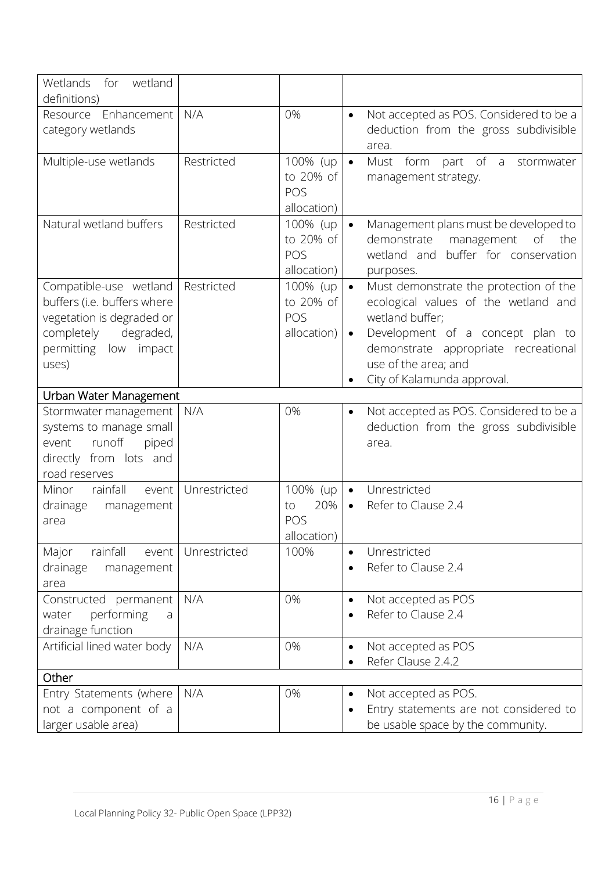| Wetlands<br>for wetland<br>definitions)                                                                                                               |              |                                               |                                                                                                                                                                                                                                                                |
|-------------------------------------------------------------------------------------------------------------------------------------------------------|--------------|-----------------------------------------------|----------------------------------------------------------------------------------------------------------------------------------------------------------------------------------------------------------------------------------------------------------------|
| Resource Enhancement<br>category wetlands                                                                                                             | N/A          | 0%                                            | Not accepted as POS. Considered to be a<br>$\bullet$<br>deduction from the gross subdivisible<br>area.                                                                                                                                                         |
| Multiple-use wetlands                                                                                                                                 | Restricted   | 100% (up<br>to 20% of<br>POS<br>allocation)   | form<br>part of a<br>Must<br>stormwater<br>$\bullet$<br>management strategy.                                                                                                                                                                                   |
| Natural wetland buffers                                                                                                                               | Restricted   | 100% (up<br>to 20% of<br>POS<br>allocation)   | Management plans must be developed to<br>$\bullet$<br>demonstrate management of the<br>wetland and buffer for conservation<br>purposes.                                                                                                                        |
| Compatible-use wetland<br>buffers (i.e. buffers where<br>vegetation is degraded or<br>completely<br>degraded,<br>permitting<br>low<br>impact<br>uses) | Restricted   | 100% (up<br>to 20% of<br>POS<br>allocation)   | Must demonstrate the protection of the<br>$\bullet$<br>ecological values of the wetland and<br>wetland buffer;<br>Development of a concept plan to<br>$\bullet$<br>demonstrate appropriate recreational<br>use of the area; and<br>City of Kalamunda approval. |
| Urban Water Management                                                                                                                                |              |                                               |                                                                                                                                                                                                                                                                |
| Stormwater management<br>systems to manage small<br>runoff<br>piped<br>event<br>directly from lots and<br>road reserves                               | N/A          | 0%                                            | Not accepted as POS. Considered to be a<br>$\bullet$<br>deduction from the gross subdivisible<br>area.                                                                                                                                                         |
| rainfall<br>Minor<br>event<br>drainage<br>management<br>area                                                                                          | Unrestricted | 100% (up  <br>20%<br>to<br>POS<br>allocation) | Unrestricted<br>$\bullet$<br>Refer to Clause 2.4<br>$\bullet$                                                                                                                                                                                                  |
| rainfall<br>Major<br>event<br>drainage<br>management<br>area                                                                                          | Unrestricted | 100%                                          | Unrestricted<br>$\bullet$<br>Refer to Clause 2.4                                                                                                                                                                                                               |
| Constructed permanent<br>performing<br>water<br>a<br>drainage function                                                                                | N/A          | 0%                                            | Not accepted as POS<br>$\bullet$<br>Refer to Clause 2.4<br>$\bullet$                                                                                                                                                                                           |
| Artificial lined water body                                                                                                                           | N/A          | 0%                                            | Not accepted as POS<br>$\bullet$<br>Refer Clause 2.4.2<br>$\bullet$                                                                                                                                                                                            |
| Other                                                                                                                                                 |              |                                               |                                                                                                                                                                                                                                                                |
| Entry Statements (where                                                                                                                               | N/A          | 0%                                            | Not accepted as POS.<br>$\bullet$                                                                                                                                                                                                                              |
| not a component of a<br>larger usable area)                                                                                                           |              |                                               | Entry statements are not considered to<br>$\bullet$<br>be usable space by the community.                                                                                                                                                                       |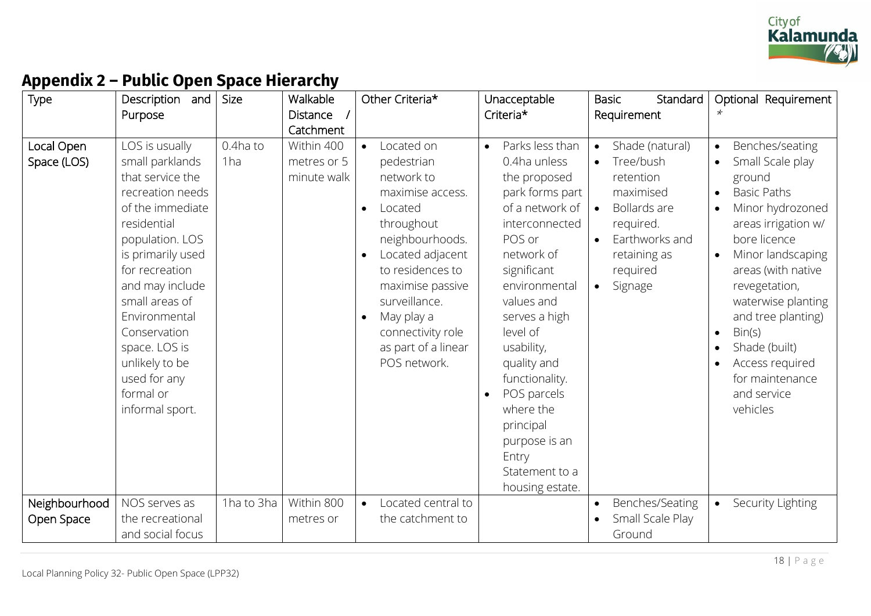![](_page_17_Picture_0.jpeg)

# **Appendix 2 – Public Open Space Hierarchy**

<span id="page-17-0"></span>

| Type                        | Description<br>and  <br>Purpose                                                                                                                                                                                                                                                                                                                  | Size                          | Walkable<br>Distance /                                              | Other Criteria*                                                                                                                                                                                                                                                                                                                         | Unacceptable<br>Criteria*                                                                                                                                                                                                                                                                                                                                                                   | <b>Basic</b><br>Standard<br>Requirement                                                                                                                                                                       | Optional Requirement                                                                                                                                                                                                                                                                                                                                                                                             |
|-----------------------------|--------------------------------------------------------------------------------------------------------------------------------------------------------------------------------------------------------------------------------------------------------------------------------------------------------------------------------------------------|-------------------------------|---------------------------------------------------------------------|-----------------------------------------------------------------------------------------------------------------------------------------------------------------------------------------------------------------------------------------------------------------------------------------------------------------------------------------|---------------------------------------------------------------------------------------------------------------------------------------------------------------------------------------------------------------------------------------------------------------------------------------------------------------------------------------------------------------------------------------------|---------------------------------------------------------------------------------------------------------------------------------------------------------------------------------------------------------------|------------------------------------------------------------------------------------------------------------------------------------------------------------------------------------------------------------------------------------------------------------------------------------------------------------------------------------------------------------------------------------------------------------------|
| Local Open<br>Space (LOS)   | LOS is usually<br>small parklands<br>that service the<br>recreation needs<br>of the immediate<br>residential<br>population. LOS<br>is primarily used<br>for recreation<br>and may include<br>small areas of<br>Environmental<br>Conservation<br>space. LOS is<br>unlikely to be<br>used for any<br>formal or<br>informal sport.<br>NOS serves as | 0.4ha to<br>1ha<br>1ha to 3ha | Catchment<br>Within 400<br>metres or 5<br>minute walk<br>Within 800 | Located on<br>$\bullet$<br>pedestrian<br>network to<br>maximise access.<br>Located<br>$\bullet$<br>throughout<br>neighbourhoods.<br>Located adjacent<br>to residences to<br>maximise passive<br>surveillance.<br>May play a<br>$\bullet$<br>connectivity role<br>as part of a linear<br>POS network.<br>Located central to<br>$\bullet$ | Parks less than<br>$\bullet$<br>0.4ha unless<br>the proposed<br>park forms part<br>of a network of<br>interconnected<br>POS or<br>network of<br>significant<br>environmental<br>values and<br>serves a high<br>level of<br>usability,<br>quality and<br>functionality.<br>POS parcels<br>$\bullet$<br>where the<br>principal<br>purpose is an<br>Entry<br>Statement to a<br>housing estate. | Shade (natural)<br>$\bullet$<br>Tree/bush<br>$\bullet$<br>retention<br>maximised<br>Bollards are<br>$\bullet$<br>required.<br>Earthworks and<br>$\bullet$<br>retaining as<br>required<br>Signage<br>$\bullet$ | Benches/seating<br>$\bullet$<br>Small Scale play<br>$\bullet$<br>ground<br><b>Basic Paths</b><br>$\bullet$<br>Minor hydrozoned<br>areas irrigation w/<br>bore licence<br>Minor landscaping<br>areas (with native<br>revegetation,<br>waterwise planting<br>and tree planting)<br>Bin(s)<br>$\bullet$<br>Shade (built)<br>$\bullet$<br>Access required<br>$\bullet$<br>for maintenance<br>and service<br>vehicles |
| Neighbourhood<br>Open Space | the recreational<br>and social focus                                                                                                                                                                                                                                                                                                             |                               | metres or                                                           | the catchment to                                                                                                                                                                                                                                                                                                                        |                                                                                                                                                                                                                                                                                                                                                                                             | Benches/Seating<br>$\bullet$<br>Small Scale Play<br>$\bullet$<br>Ground                                                                                                                                       | Security Lighting<br>$\bullet$                                                                                                                                                                                                                                                                                                                                                                                   |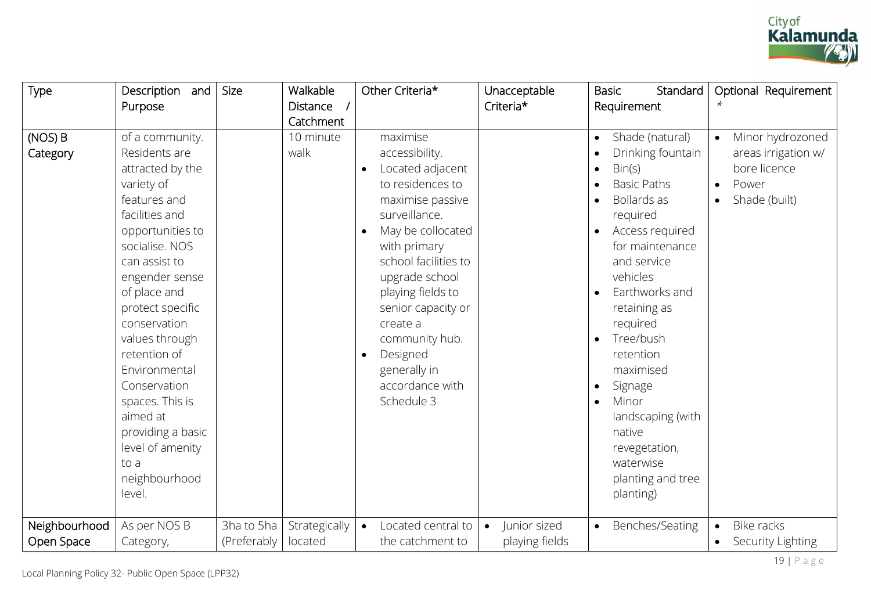![](_page_18_Picture_0.jpeg)

| Type          | Description<br>and | Size        | Walkable      | Other Criteria*                 | Unacceptable              | <b>Basic</b>                    | Standard | Optional Requirement                  |
|---------------|--------------------|-------------|---------------|---------------------------------|---------------------------|---------------------------------|----------|---------------------------------------|
|               | Purpose            |             | Distance      |                                 | Criteria*                 | Requirement                     |          |                                       |
|               |                    |             | Catchment     |                                 |                           |                                 |          |                                       |
| (NOS) B       | of a community.    |             | 10 minute     | maximise                        |                           | Shade (natural)<br>$\bullet$    |          | Minor hydrozoned                      |
| Category      | Residents are      |             | walk          | accessibility.                  |                           | Drinking fountain<br>$\bullet$  |          | areas irrigation w/                   |
|               | attracted by the   |             |               | Located adjacent<br>$\bullet$   |                           | Bin(s)<br>$\bullet$             |          | bore licence                          |
|               | variety of         |             |               | to residences to                |                           | <b>Basic Paths</b><br>$\bullet$ |          | Power<br>$\bullet$                    |
|               | features and       |             |               | maximise passive                |                           | Bollards as<br>$\bullet$        |          | Shade (built)<br>$\bullet$            |
|               | facilities and     |             |               | surveillance.                   |                           | required                        |          |                                       |
|               | opportunities to   |             |               | May be collocated<br>$\bullet$  |                           | Access required<br>$\bullet$    |          |                                       |
|               | socialise. NOS     |             |               | with primary                    |                           | for maintenance                 |          |                                       |
|               | can assist to      |             |               | school facilities to            |                           | and service                     |          |                                       |
|               | engender sense     |             |               | upgrade school                  |                           | vehicles                        |          |                                       |
|               | of place and       |             |               | playing fields to               |                           | Earthworks and<br>$\bullet$     |          |                                       |
|               | protect specific   |             |               | senior capacity or              |                           | retaining as                    |          |                                       |
|               | conservation       |             |               | create a                        |                           | required                        |          |                                       |
|               | values through     |             |               | community hub.                  |                           | Tree/bush<br>$\bullet$          |          |                                       |
|               | retention of       |             |               | Designed<br>$\bullet$           |                           | retention                       |          |                                       |
|               | Environmental      |             |               | generally in                    |                           | maximised                       |          |                                       |
|               | Conservation       |             |               | accordance with                 |                           | Signage<br>$\bullet$            |          |                                       |
|               | spaces. This is    |             |               | Schedule 3                      |                           | Minor<br>$\bullet$              |          |                                       |
|               | aimed at           |             |               |                                 |                           | landscaping (with               |          |                                       |
|               | providing a basic  |             |               |                                 |                           | native                          |          |                                       |
|               | level of amenity   |             |               |                                 |                           | revegetation,                   |          |                                       |
|               | to a               |             |               |                                 |                           | waterwise                       |          |                                       |
|               | neighbourhood      |             |               |                                 |                           | planting and tree               |          |                                       |
|               | level.             |             |               |                                 |                           | planting)                       |          |                                       |
|               |                    |             |               |                                 |                           |                                 |          |                                       |
| Neighbourhood | As per NOS B       | 3ha to 5ha  | Strategically | Located central to<br>$\bullet$ | Junior sized<br>$\bullet$ | Benches/Seating<br>$\bullet$    |          | Bike racks<br>$\bullet$               |
| Open Space    | Category,          | (Preferably | located       | the catchment to                | playing fields            |                                 |          | <b>Security Lighting</b><br>$\bullet$ |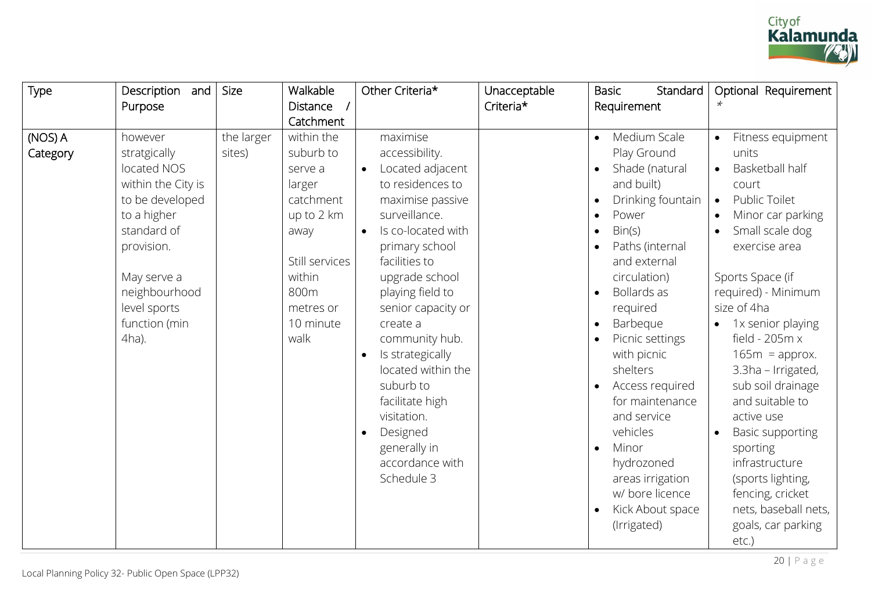![](_page_19_Picture_0.jpeg)

| Type                | Description and<br>Purpose                                                                                                                                                                            | <b>Size</b>          | Walkable<br>Distance<br>$\overline{\phantom{a}}$<br>Catchment                                                                                         | Other Criteria*                                                                                                                                                                                                                                                                                                                                                                                                               | Unacceptable<br>Criteria* | Standard<br><b>Basic</b><br>Requirement                                                                                                                                                                                                                                                                                                                                                                                                                                                                                                                      | Optional Requirement<br>$\star$                                                                                                                                                                                                                                                                                                                                                                                                                                                                              |
|---------------------|-------------------------------------------------------------------------------------------------------------------------------------------------------------------------------------------------------|----------------------|-------------------------------------------------------------------------------------------------------------------------------------------------------|-------------------------------------------------------------------------------------------------------------------------------------------------------------------------------------------------------------------------------------------------------------------------------------------------------------------------------------------------------------------------------------------------------------------------------|---------------------------|--------------------------------------------------------------------------------------------------------------------------------------------------------------------------------------------------------------------------------------------------------------------------------------------------------------------------------------------------------------------------------------------------------------------------------------------------------------------------------------------------------------------------------------------------------------|--------------------------------------------------------------------------------------------------------------------------------------------------------------------------------------------------------------------------------------------------------------------------------------------------------------------------------------------------------------------------------------------------------------------------------------------------------------------------------------------------------------|
| (NOS) A<br>Category | however<br>stratgically<br>located NOS<br>within the City is<br>to be developed<br>to a higher<br>standard of<br>provision.<br>May serve a<br>neighbourhood<br>level sports<br>function (min<br>4ha). | the larger<br>sites) | within the<br>suburb to<br>serve a<br>larger<br>catchment<br>up to 2 km<br>away<br>Still services<br>within<br>800m<br>metres or<br>10 minute<br>walk | maximise<br>accessibility.<br>Located adjacent<br>to residences to<br>maximise passive<br>surveillance.<br>Is co-located with<br>primary school<br>facilities to<br>upgrade school<br>playing field to<br>senior capacity or<br>create a<br>community hub.<br>Is strategically<br>$\bullet$<br>located within the<br>suburb to<br>facilitate high<br>visitation.<br>Designed<br>generally in<br>accordance with<br>Schedule 3 |                           | Medium Scale<br>Play Ground<br>Shade (natural<br>$\bullet$<br>and built)<br>Drinking fountain<br>$\bullet$<br>Power<br>$\bullet$<br>Bin(s)<br>$\bullet$<br>Paths (internal<br>$\bullet$<br>and external<br>circulation)<br>Bollards as<br>$\bullet$<br>required<br>Barbeque<br>$\bullet$<br>Picnic settings<br>$\bullet$<br>with picnic<br>shelters<br>Access required<br>$\bullet$<br>for maintenance<br>and service<br>vehicles<br>Minor<br>$\bullet$<br>hydrozoned<br>areas irrigation<br>w/ bore licence<br>Kick About space<br>$\bullet$<br>(Irrigated) | Fitness equipment<br>units<br>Basketball half<br>court<br>Public Toilet<br>$\bullet$<br>Minor car parking<br>Small scale dog<br>exercise area<br>Sports Space (if<br>required) - Minimum<br>size of 4ha<br>1x senior playing<br>field - $205m x$<br>$165m =$ approx.<br>3.3ha - Irrigated,<br>sub soil drainage<br>and suitable to<br>active use<br><b>Basic supporting</b><br>sporting<br>infrastructure<br>(sports lighting,<br>fencing, cricket<br>nets, baseball nets,<br>goals, car parking<br>$etc.$ ) |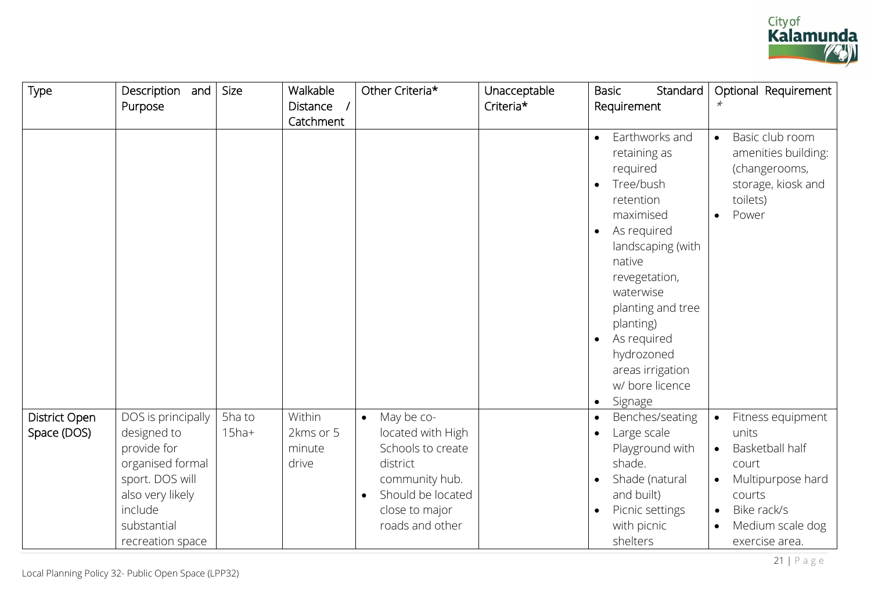![](_page_20_Picture_0.jpeg)

| Type                                | <b>Size</b><br>Description and<br>Purpose                                                                                                                                       | Other Criteria*<br>Walkable<br>Distance /<br>Catchment                                                                                                                                              | Unacceptable<br>Criteria* | Standard<br>Basic<br>Requirement                                                                                                                                                                                                                                                                                                                | Optional Requirement<br>$\star$                                                                                                                                                                |
|-------------------------------------|---------------------------------------------------------------------------------------------------------------------------------------------------------------------------------|-----------------------------------------------------------------------------------------------------------------------------------------------------------------------------------------------------|---------------------------|-------------------------------------------------------------------------------------------------------------------------------------------------------------------------------------------------------------------------------------------------------------------------------------------------------------------------------------------------|------------------------------------------------------------------------------------------------------------------------------------------------------------------------------------------------|
|                                     |                                                                                                                                                                                 |                                                                                                                                                                                                     |                           | Earthworks and<br>$\bullet$<br>retaining as<br>required<br>Tree/bush<br>$\bullet$<br>retention<br>maximised<br>As required<br>$\bullet$<br>landscaping (with<br>native<br>revegetation,<br>waterwise<br>planting and tree<br>planting)<br>As required<br>$\bullet$<br>hydrozoned<br>areas irrigation<br>w/ bore licence<br>Signage<br>$\bullet$ | Basic club room<br>$\bullet$<br>amenities building:<br>(changerooms,<br>storage, kiosk and<br>toilets)<br>Power<br>$\bullet$                                                                   |
| <b>District Open</b><br>Space (DOS) | DOS is principally<br>5ha to<br>designed to<br>$15$ ha+<br>provide for<br>organised formal<br>sport. DOS will<br>also very likely<br>include<br>substantial<br>recreation space | Within<br>May be co-<br>$\bullet$<br>located with High<br>2kms or 5<br>Schools to create<br>minute<br>drive<br>district<br>community hub.<br>Should be located<br>close to major<br>roads and other |                           | Benches/seating<br>$\bullet$<br>Large scale<br>$\bullet$<br>Playground with<br>shade.<br>Shade (natural<br>$\bullet$<br>and built)<br>Picnic settings<br>$\bullet$<br>with picnic<br>shelters                                                                                                                                                   | Fitness equipment<br>$\bullet$<br>units<br>Basketball half<br>$\bullet$<br>court<br>Multipurpose hard<br>$\bullet$<br>courts<br>Bike rack/s<br>$\bullet$<br>Medium scale dog<br>exercise area. |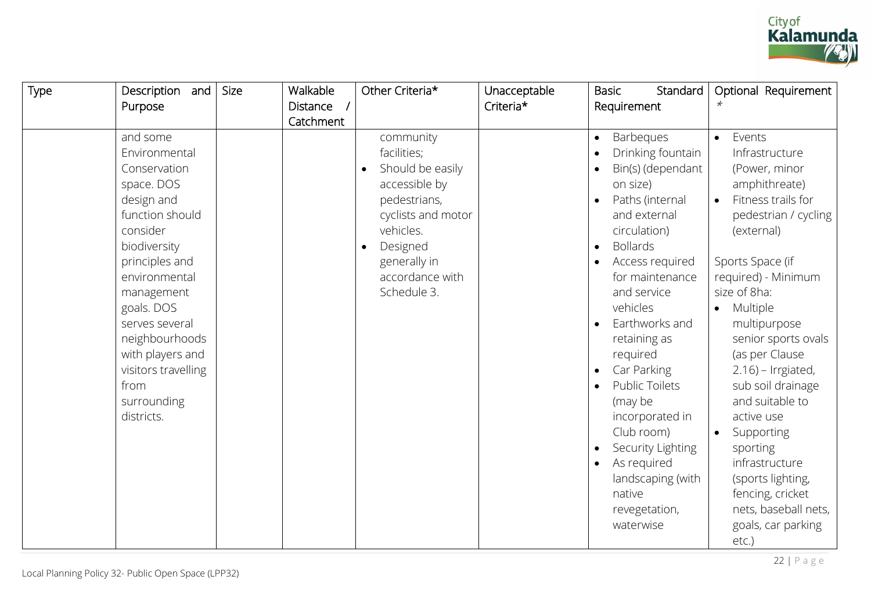![](_page_21_Picture_0.jpeg)

| Type | Description and<br>Purpose                                                                                                                                                                                                                                                                              | Walkable<br><b>Size</b><br>Distance<br>Catchment | Other Criteria*                                                                                                                                                                | Unacceptable<br>Criteria* | Standard<br>Basic<br>Requirement                                                                                                                                                                                                                                                                                                                                                                                                                                                                                              | Optional Requirement<br>$\star$                                                                                                                                                                                                                                                                                                                                                                                                                                                                                |
|------|---------------------------------------------------------------------------------------------------------------------------------------------------------------------------------------------------------------------------------------------------------------------------------------------------------|--------------------------------------------------|--------------------------------------------------------------------------------------------------------------------------------------------------------------------------------|---------------------------|-------------------------------------------------------------------------------------------------------------------------------------------------------------------------------------------------------------------------------------------------------------------------------------------------------------------------------------------------------------------------------------------------------------------------------------------------------------------------------------------------------------------------------|----------------------------------------------------------------------------------------------------------------------------------------------------------------------------------------------------------------------------------------------------------------------------------------------------------------------------------------------------------------------------------------------------------------------------------------------------------------------------------------------------------------|
|      | and some<br>Environmental<br>Conservation<br>space. DOS<br>design and<br>function should<br>consider<br>biodiversity<br>principles and<br>environmental<br>management<br>goals. DOS<br>serves several<br>neighbourhoods<br>with players and<br>visitors travelling<br>from<br>surrounding<br>districts. |                                                  | community<br>facilities;<br>Should be easily<br>accessible by<br>pedestrians,<br>cyclists and motor<br>vehicles.<br>Designed<br>generally in<br>accordance with<br>Schedule 3. |                           | Barbeques<br>$\bullet$<br>Drinking fountain<br>$\bullet$<br>Bin(s) (dependant<br>$\bullet$<br>on size)<br>Paths (internal<br>$\bullet$<br>and external<br>circulation)<br><b>Bollards</b><br>$\bullet$<br>Access required<br>for maintenance<br>and service<br>vehicles<br>Earthworks and<br>retaining as<br>required<br>Car Parking<br>$\bullet$<br>Public Toilets<br>$\bullet$<br>(may be<br>incorporated in<br>Club room)<br>Security Lighting<br>As required<br>landscaping (with<br>native<br>revegetation,<br>waterwise | Events<br>$\bullet$<br>Infrastructure<br>(Power, minor<br>amphithreate)<br>Fitness trails for<br>pedestrian / cycling<br>(external)<br>Sports Space (if<br>required) - Minimum<br>size of 8ha:<br>Multiple<br>$\bullet$<br>multipurpose<br>senior sports ovals<br>(as per Clause<br>$2.16$ ) – Irrgiated,<br>sub soil drainage<br>and suitable to<br>active use<br>Supporting<br>sporting<br>infrastructure<br>(sports lighting,<br>fencing, cricket<br>nets, baseball nets,<br>goals, car parking<br>$etc.$ ) |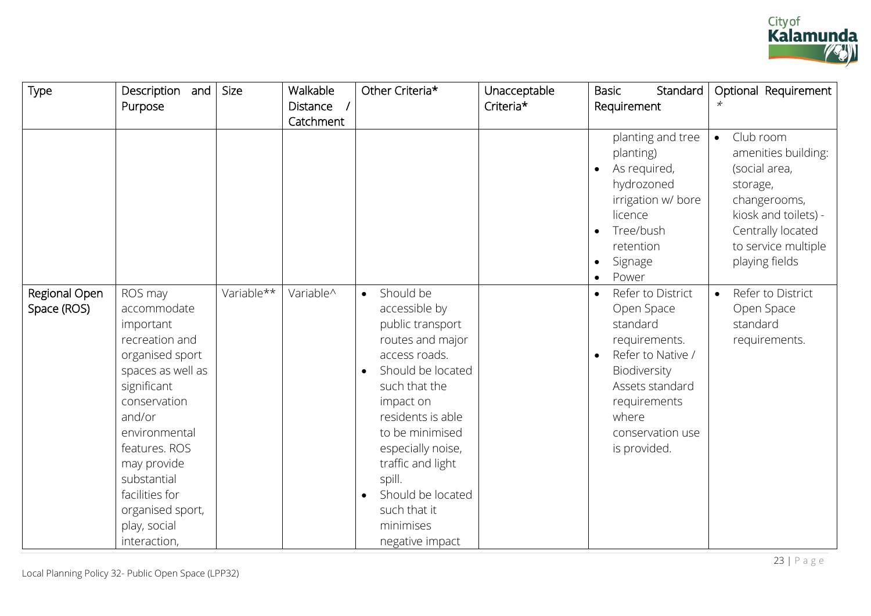![](_page_22_Picture_0.jpeg)

| Type                         | Description and<br>Purpose                                                                                                                                                                                                                                                   | <b>Size</b> | Walkable<br>Distance /<br>Catchment | Other Criteria*                                                                                                                                                                                                                                                                                                                   | Unacceptable<br>Criteria* | Standard<br><b>Basic</b><br>Requirement                                                                                                                                                                     | Optional Requirement<br>$\star$                                                                                                                                                  |
|------------------------------|------------------------------------------------------------------------------------------------------------------------------------------------------------------------------------------------------------------------------------------------------------------------------|-------------|-------------------------------------|-----------------------------------------------------------------------------------------------------------------------------------------------------------------------------------------------------------------------------------------------------------------------------------------------------------------------------------|---------------------------|-------------------------------------------------------------------------------------------------------------------------------------------------------------------------------------------------------------|----------------------------------------------------------------------------------------------------------------------------------------------------------------------------------|
|                              |                                                                                                                                                                                                                                                                              |             |                                     |                                                                                                                                                                                                                                                                                                                                   |                           | planting and tree<br>planting)<br>As required,<br>$\bullet$<br>hydrozoned<br>irrigation w/ bore<br>licence<br>Tree/bush<br>$\bullet$<br>retention<br>Signage<br>$\bullet$<br>Power<br>$\bullet$             | Club room<br>$\bullet$<br>amenities building:<br>(social area,<br>storage,<br>changerooms,<br>kiosk and toilets) -<br>Centrally located<br>to service multiple<br>playing fields |
| Regional Open<br>Space (ROS) | ROS may<br>accommodate<br>important<br>recreation and<br>organised sport<br>spaces as well as<br>significant<br>conservation<br>and/or<br>environmental<br>features. ROS<br>may provide<br>substantial<br>facilities for<br>organised sport,<br>play, social<br>interaction, | Variable**  | Variable^                           | Should be<br>$\bullet$<br>accessible by<br>public transport<br>routes and major<br>access roads.<br>Should be located<br>$\bullet$<br>such that the<br>impact on<br>residents is able<br>to be minimised<br>especially noise,<br>traffic and light<br>spill.<br>Should be located<br>such that it<br>minimises<br>negative impact |                           | Refer to District<br>$\bullet$<br>Open Space<br>standard<br>requirements.<br>Refer to Native /<br>$\bullet$<br>Biodiversity<br>Assets standard<br>requirements<br>where<br>conservation use<br>is provided. | Refer to District<br>$\bullet$<br>Open Space<br>standard<br>requirements.                                                                                                        |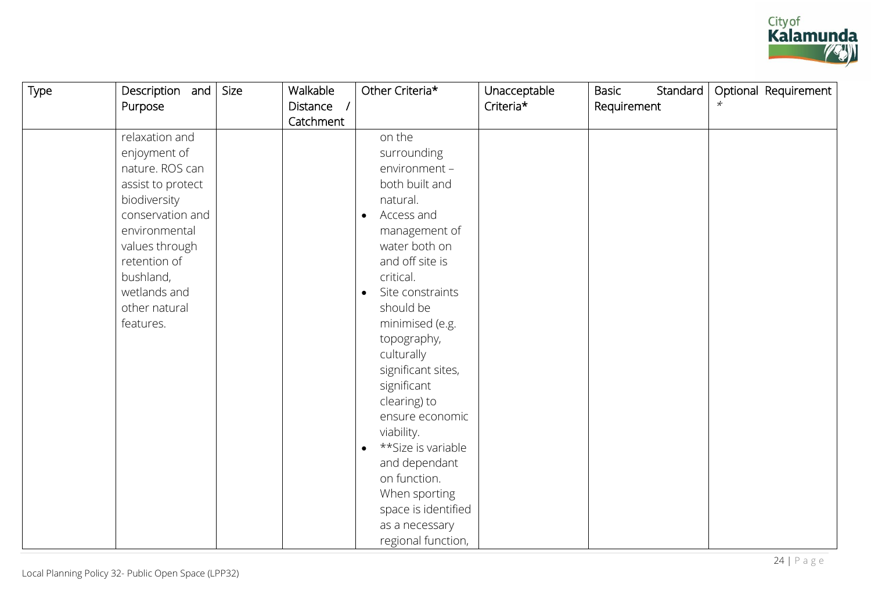![](_page_23_Picture_0.jpeg)

| Type | Description and<br>Purpose                                                                                                                                                                                               | Size | Walkable<br>Distance /<br>Catchment | Other Criteria*                                                                                                                                                                                                                                                                                                                                                                                                                                                                                           | Unacceptable<br>Criteria* | <b>Basic</b><br>Requirement | Standard | $\star$ | Optional Requirement |
|------|--------------------------------------------------------------------------------------------------------------------------------------------------------------------------------------------------------------------------|------|-------------------------------------|-----------------------------------------------------------------------------------------------------------------------------------------------------------------------------------------------------------------------------------------------------------------------------------------------------------------------------------------------------------------------------------------------------------------------------------------------------------------------------------------------------------|---------------------------|-----------------------------|----------|---------|----------------------|
|      | relaxation and<br>enjoyment of<br>nature. ROS can<br>assist to protect<br>biodiversity<br>conservation and<br>environmental<br>values through<br>retention of<br>bushland,<br>wetlands and<br>other natural<br>features. |      |                                     | on the<br>surrounding<br>environment -<br>both built and<br>natural.<br>Access and<br>$\bullet$<br>management of<br>water both on<br>and off site is<br>critical.<br>Site constraints<br>$\bullet$<br>should be<br>minimised (e.g.<br>topography,<br>culturally<br>significant sites,<br>significant<br>clearing) to<br>ensure economic<br>viability.<br>**Size is variable<br>$\bullet$<br>and dependant<br>on function.<br>When sporting<br>space is identified<br>as a necessary<br>regional function, |                           |                             |          |         |                      |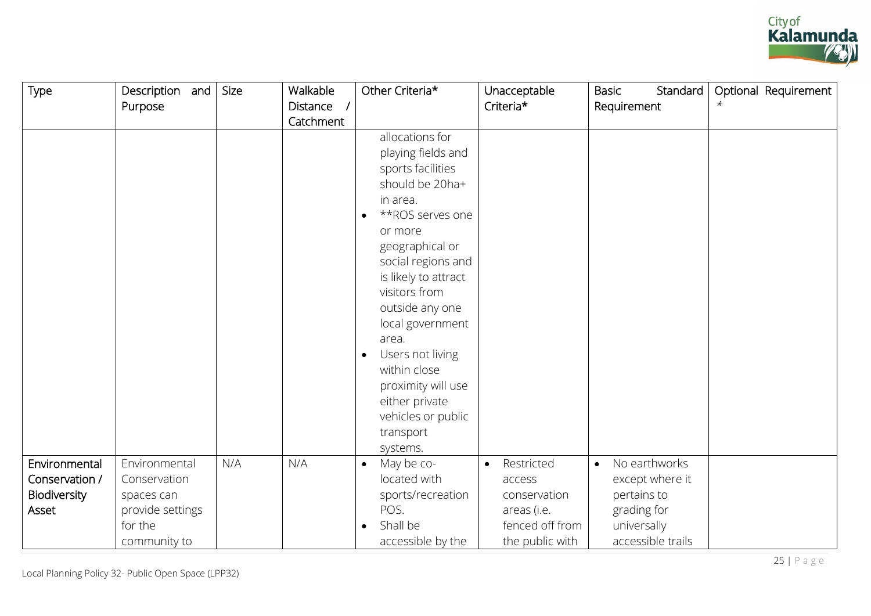![](_page_24_Picture_0.jpeg)

| Type                                                     | Description and<br>Purpose                                                                 | Size | Walkable<br>Distance /<br>Catchment | Other Criteria*                                                                                                                                                                                                                                                                                                                                                                                                 | Unacceptable<br>Criteria*                                                                              | Standard<br><b>Basic</b><br>Requirement                                                                         | Optional Requirement<br>$\star$ |
|----------------------------------------------------------|--------------------------------------------------------------------------------------------|------|-------------------------------------|-----------------------------------------------------------------------------------------------------------------------------------------------------------------------------------------------------------------------------------------------------------------------------------------------------------------------------------------------------------------------------------------------------------------|--------------------------------------------------------------------------------------------------------|-----------------------------------------------------------------------------------------------------------------|---------------------------------|
|                                                          |                                                                                            |      |                                     | allocations for<br>playing fields and<br>sports facilities<br>should be 20ha+<br>in area.<br>**ROS serves one<br>$\bullet$<br>or more<br>geographical or<br>social regions and<br>is likely to attract<br>visitors from<br>outside any one<br>local government<br>area.<br>Users not living<br>$\bullet$<br>within close<br>proximity will use<br>either private<br>vehicles or public<br>transport<br>systems. |                                                                                                        |                                                                                                                 |                                 |
| Environmental<br>Conservation /<br>Biodiversity<br>Asset | Environmental<br>Conservation<br>spaces can<br>provide settings<br>for the<br>community to | N/A  | N/A                                 | May be co-<br>$\bullet$<br>located with<br>sports/recreation<br>POS.<br>Shall be<br>accessible by the                                                                                                                                                                                                                                                                                                           | Restricted<br>$\bullet$<br>access<br>conservation<br>areas (i.e.<br>fenced off from<br>the public with | No earthworks<br>$\bullet$<br>except where it<br>pertains to<br>grading for<br>universally<br>accessible trails |                                 |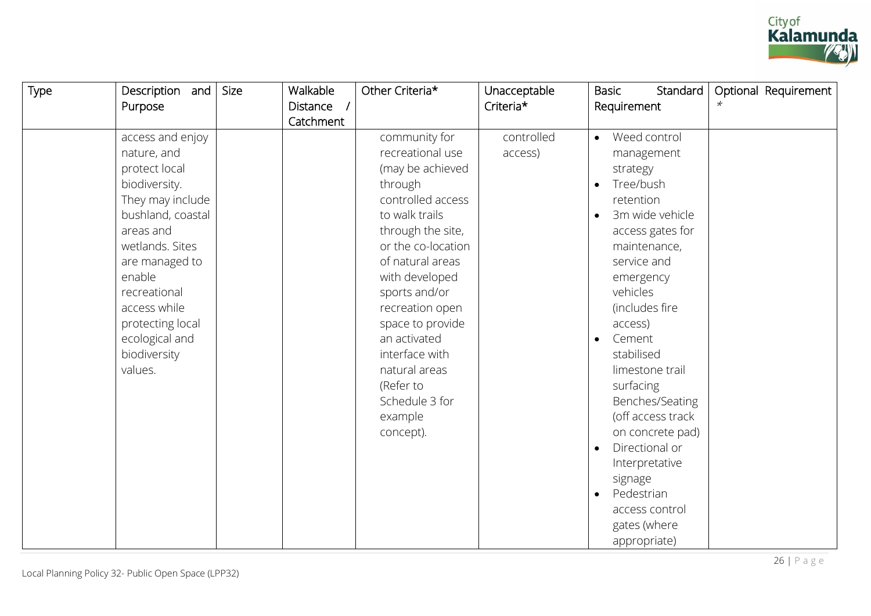![](_page_25_Picture_0.jpeg)

| Type | Description and<br>Purpose | Size | Walkable<br>Distance / | Other Criteria*    | Unacceptable<br>Criteria* | Standard<br><b>Basic</b><br>Requirement | Optional Requirement<br>$\star$ |
|------|----------------------------|------|------------------------|--------------------|---------------------------|-----------------------------------------|---------------------------------|
|      |                            |      | Catchment              |                    |                           |                                         |                                 |
|      | access and enjoy           |      |                        | community for      | controlled                | Weed control<br>$\bullet$               |                                 |
|      | nature, and                |      |                        | recreational use   | access)                   | management                              |                                 |
|      | protect local              |      |                        | (may be achieved   |                           | strategy                                |                                 |
|      | biodiversity.              |      |                        | through            |                           | Tree/bush                               |                                 |
|      | They may include           |      |                        | controlled access  |                           | retention                               |                                 |
|      | bushland, coastal          |      |                        | to walk trails     |                           | 3m wide vehicle<br>$\bullet$            |                                 |
|      | areas and                  |      |                        | through the site,  |                           | access gates for                        |                                 |
|      | wetlands. Sites            |      |                        | or the co-location |                           | maintenance,                            |                                 |
|      | are managed to             |      |                        | of natural areas   |                           | service and                             |                                 |
|      | enable                     |      |                        | with developed     |                           | emergency                               |                                 |
|      | recreational               |      |                        | sports and/or      |                           | vehicles                                |                                 |
|      | access while               |      |                        | recreation open    |                           | (includes fire                          |                                 |
|      | protecting local           |      |                        | space to provide   |                           | access)                                 |                                 |
|      | ecological and             |      |                        | an activated       |                           | Cement<br>$\bullet$                     |                                 |
|      | biodiversity               |      |                        | interface with     |                           | stabilised                              |                                 |
|      | values.                    |      |                        | natural areas      |                           | limestone trail                         |                                 |
|      |                            |      |                        | (Refer to          |                           | surfacing                               |                                 |
|      |                            |      |                        | Schedule 3 for     |                           | Benches/Seating                         |                                 |
|      |                            |      |                        | example            |                           | (off access track                       |                                 |
|      |                            |      |                        | concept).          |                           | on concrete pad)                        |                                 |
|      |                            |      |                        |                    |                           | Directional or<br>$\bullet$             |                                 |
|      |                            |      |                        |                    |                           | Interpretative                          |                                 |
|      |                            |      |                        |                    |                           | signage                                 |                                 |
|      |                            |      |                        |                    |                           | Pedestrian                              |                                 |
|      |                            |      |                        |                    |                           | access control                          |                                 |
|      |                            |      |                        |                    |                           | gates (where                            |                                 |
|      |                            |      |                        |                    |                           | appropriate)                            |                                 |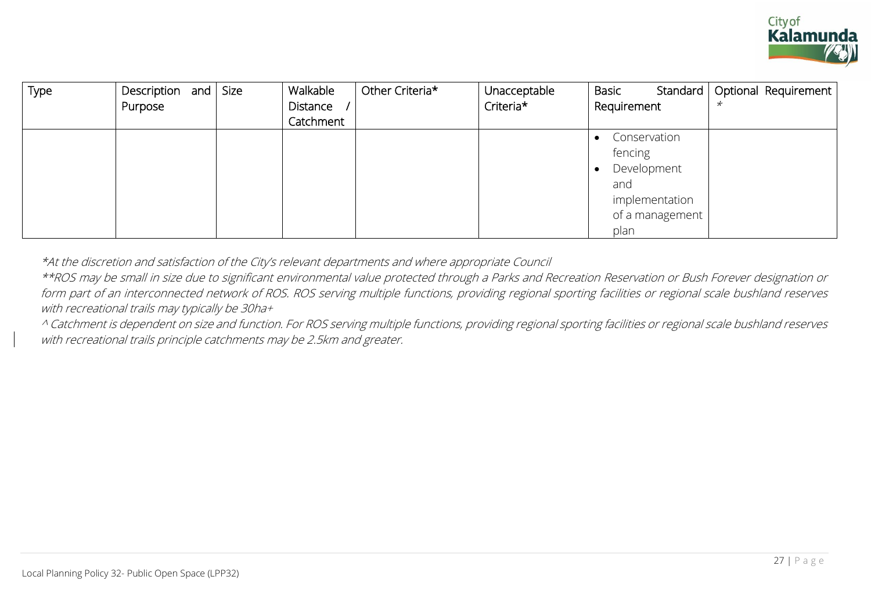![](_page_26_Picture_0.jpeg)

| Type | Description and $\vert$ Size |  | Walkable  | Other Criteria* | Unacceptable | Basic       | Standard        |         | Optional Requirement |
|------|------------------------------|--|-----------|-----------------|--------------|-------------|-----------------|---------|----------------------|
|      | Purpose                      |  | Distance  |                 | Criteria*    | Requirement |                 | $\star$ |                      |
|      |                              |  | Catchment |                 |              |             |                 |         |                      |
|      |                              |  |           |                 |              | $\bullet$   | Conservation    |         |                      |
|      |                              |  |           |                 |              | fencing     |                 |         |                      |
|      |                              |  |           |                 |              |             | Development     |         |                      |
|      |                              |  |           |                 |              | and         |                 |         |                      |
|      |                              |  |           |                 |              |             | implementation  |         |                      |
|      |                              |  |           |                 |              |             | of a management |         |                      |
|      |                              |  |           |                 |              | plan        |                 |         |                      |

\*At the discretion and satisfaction of the City's relevant departments and where appropriate Council

\*\*ROS may be small in size due to significant environmental value protected through a Parks and Recreation Reservation or Bush Forever designation or form part of an interconnected network of ROS. ROS serving multiple functions, providing regional sporting facilities or regional scale bushland reserves with recreational trails may typically be 30ha+

^ Catchment is dependent on size and function. For ROS serving multiple functions, providing regional sporting facilities or regional scale bushland reserves with recreational trails principle catchments may be 2.5km and greater.